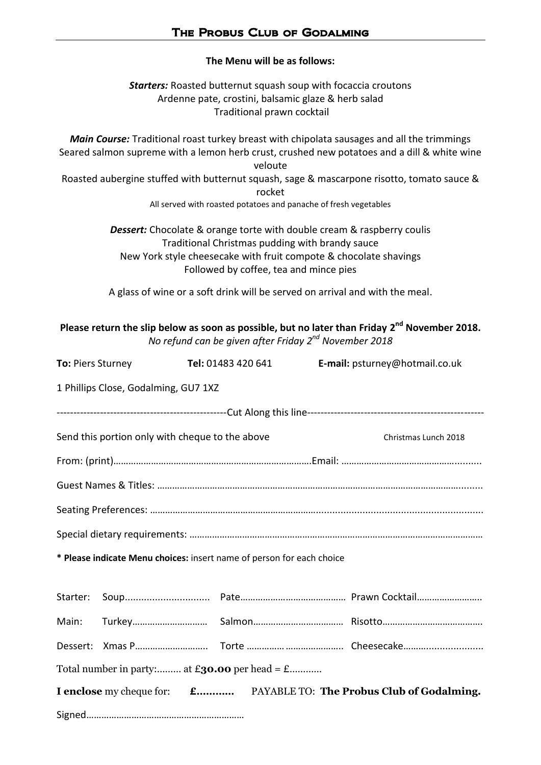## **The Menu will be as follows:**

*Starters:* Roasted butternut squash soup with focaccia croutons Ardenne pate, crostini, balsamic glaze & herb salad Traditional prawn cocktail

*Main Course:* Traditional roast turkey breast with chipolata sausages and all the trimmings Seared salmon supreme with a lemon herb crust, crushed new potatoes and a dill & white wine veloute Roasted aubergine stuffed with butternut squash, sage & mascarpone risotto, tomato sauce & rocket All served with roasted potatoes and panache of fresh vegetables

> *Dessert:* Chocolate & orange torte with double cream & raspberry coulis Traditional Christmas pudding with brandy sauce New York style cheesecake with fruit compote & chocolate shavings Followed by coffee, tea and mince pies

> A glass of wine or a soft drink will be served on arrival and with the meal.

| Please return the slip below as soon as possible, but no later than Friday $2^{nd}$ November 2018. |  |
|----------------------------------------------------------------------------------------------------|--|
| No refund can be given after Friday $2^{nd}$ November 2018                                         |  |

| <b>To: Piers Sturney Tel: 01483 420 641</b>                                 |                                                 |  |  | E-mail: psturney@hotmail.co.uk |                      |  |  |
|-----------------------------------------------------------------------------|-------------------------------------------------|--|--|--------------------------------|----------------------|--|--|
| 1 Phillips Close, Godalming, GU7 1XZ                                        |                                                 |  |  |                                |                      |  |  |
|                                                                             |                                                 |  |  |                                |                      |  |  |
|                                                                             | Send this portion only with cheque to the above |  |  |                                | Christmas Lunch 2018 |  |  |
|                                                                             |                                                 |  |  |                                |                      |  |  |
|                                                                             |                                                 |  |  |                                |                      |  |  |
|                                                                             |                                                 |  |  |                                |                      |  |  |
|                                                                             |                                                 |  |  |                                |                      |  |  |
| * Please indicate Menu choices: insert name of person for each choice       |                                                 |  |  |                                |                      |  |  |
|                                                                             |                                                 |  |  |                                |                      |  |  |
|                                                                             |                                                 |  |  |                                |                      |  |  |
|                                                                             |                                                 |  |  |                                |                      |  |  |
| Total number in party: at $\pounds$ <b>30.00</b> per head = $\pounds$       |                                                 |  |  |                                |                      |  |  |
| I enclose my cheque for: <b>£</b> PAYABLE TO: The Probus Club of Godalming. |                                                 |  |  |                                |                      |  |  |
|                                                                             |                                                 |  |  |                                |                      |  |  |